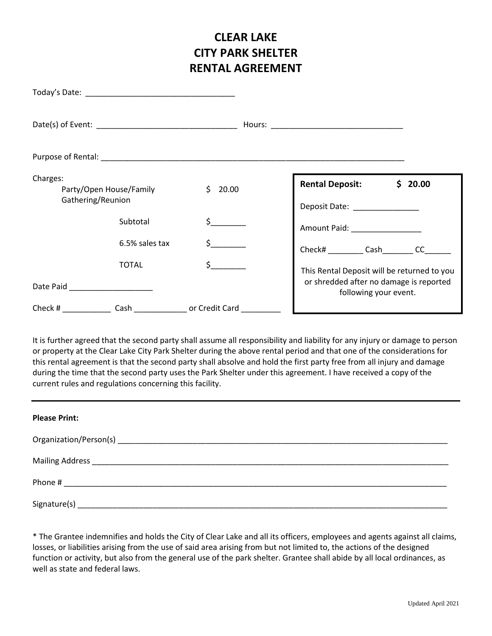## **CLEAR LAKE CITY PARK SHELTER RENTAL AGREEMENT**

| Charges:<br>Party/Open House/Family<br>Gathering/Reunion |                                          | \$20.00                          | <b>Rental Deposit:</b><br>\$20.00<br>Deposit Date: _______________                                                                                                                                                             |  |
|----------------------------------------------------------|------------------------------------------|----------------------------------|--------------------------------------------------------------------------------------------------------------------------------------------------------------------------------------------------------------------------------|--|
|                                                          | Subtotal                                 | $S$ <sub>_______</sub>           | Amount Paid: National Paint Paint Paint Paint Paint Paint Paint Paint Paint Paint Paint Paint Paint Paint Paint Paint Paint Paint Paint Paint Paint Paint Paint Paint Paint Paint Paint Paint Paint Paint Paint Paint Paint Pa |  |
|                                                          | 6.5% sales tax                           |                                  | Check# __________ Cash ________ CC_____                                                                                                                                                                                        |  |
|                                                          | TOTAL<br>Date Paid _____________________ | $\sharp$ and $\sharp$            | This Rental Deposit will be returned to you<br>or shredded after no damage is reported<br>following your event.                                                                                                                |  |
|                                                          |                                          | Check # Cash cash or Credit Card |                                                                                                                                                                                                                                |  |

It is further agreed that the second party shall assume all responsibility and liability for any injury or damage to person or property at the Clear Lake City Park Shelter during the above rental period and that one of the considerations for this rental agreement is that the second party shall absolve and hold the first party free from all injury and damage during the time that the second party uses the Park Shelter under this agreement. I have received a copy of the current rules and regulations concerning this facility.

| <b>Please Print:</b> |
|----------------------|
|                      |
|                      |
|                      |
|                      |

\* The Grantee indemnifies and holds the City of Clear Lake and all its officers, employees and agents against all claims, losses, or liabilities arising from the use of said area arising from but not limited to, the actions of the designed function or activity, but also from the general use of the park shelter. Grantee shall abide by all local ordinances, as well as state and federal laws.